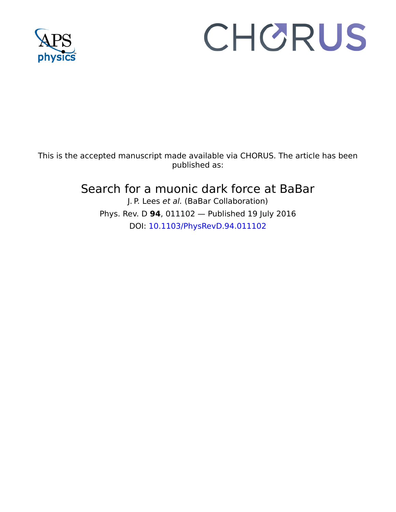

## CHORUS

This is the accepted manuscript made available via CHORUS. The article has been published as:

## Search for a muonic dark force at BaBar J. P. Lees et al. (BaBar Collaboration)

Phys. Rev. D **94**, 011102 — Published 19 July 2016 DOI: [10.1103/PhysRevD.94.011102](http://dx.doi.org/10.1103/PhysRevD.94.011102)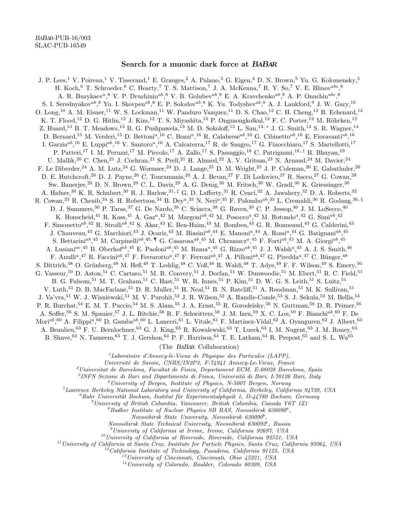## Search for a muonic dark force at BABAR

J. P. Lees,<sup>1</sup> V. Poireau,<sup>1</sup> V. Tisserand,<sup>1</sup> E. Grauges,<sup>2</sup> A. Palano,<sup>3</sup> G. Eigen,<sup>4</sup> D. N. Brown,<sup>5</sup> Yu. G. Kolomensky,<sup>5</sup> H. Koch, <sup>6</sup> T. Schroeder, <sup>6</sup> C. Hearty, <sup>7</sup> T. S. Mattison, <sup>7</sup> J. A. McKenna, <sup>7</sup> R. Y. So, <sup>7</sup> V. E. Blinov<sup>abc</sup>, <sup>8</sup> A. R. Buzykaev<sup>a</sup>,<sup>8</sup> V. P. Druzhinin<sup>ab</sup>,<sup>8</sup> V. B. Golubev<sup>ab</sup>,<sup>8</sup> E. A. Kravchenko<sup>ab</sup>,<sup>8</sup> A. P. Onuchin<sup>abc</sup>,<sup>8</sup> S. I. Serednyakov<sup>ab</sup>, <sup>8</sup> Yu. I. Skovpen<sup>ab</sup>, <sup>8</sup> E. P. Solodov<sup>ab</sup>, <sup>8</sup> K. Yu. Todyshev<sup>ab</sup>, <sup>8</sup> A. J. Lankford, <sup>9</sup> J. W. Gary, <sup>10</sup> O. Long,<sup>10</sup> A. M. Eisner,<sup>11</sup> W. S. Lockman,<sup>11</sup> W. Panduro Vazquez,<sup>11</sup> D. S. Chao,<sup>12</sup> C. H. Cheng,<sup>12</sup> B. Echenard,<sup>12</sup> K. T. Flood,<sup>12</sup> D. G. Hitlin,<sup>12</sup> J. Kim,<sup>12</sup> T. S. Miyashita,<sup>12</sup> P. Ongmongkolkul,<sup>12</sup> F. C. Porter,<sup>12</sup> M. Röhrken,<sup>12</sup> Z. Huard,<sup>13</sup> B. T. Meadows,<sup>13</sup> B. G. Pushpawela,<sup>13</sup> M. D. Sokoloff,<sup>13</sup> L. Sun,<sup>13,\*</sup> J. G. Smith,<sup>14</sup> S. R. Wagner,<sup>14</sup> D. Bernard,<sup>15</sup> M. Verderi,<sup>15</sup> D. Bettoni<sup>a</sup>,<sup>16</sup> C. Bozzi<sup>a</sup>,<sup>16</sup> R. Calabrese<sup>ab</sup>,<sup>16</sup> G. Cibinetto<sup>ab</sup>,<sup>16</sup> E. Fioravanti<sup>ab</sup>,<sup>16</sup> I. Garzia<sup>ab</sup>,<sup>16</sup> E. Luppi<sup>ab</sup>,<sup>16</sup> V. Santoro<sup>a</sup>,<sup>16</sup> A. Calcaterra,<sup>17</sup> R. de Sangro,<sup>17</sup> G. Finocchiaro,<sup>17</sup> S. Martellotti,<sup>17</sup> P. Patteri,<sup>17</sup> I. M. Peruzzi,<sup>17</sup> M. Piccolo,<sup>17</sup> A. Zallo,<sup>17</sup> S. Passaggio,<sup>18</sup> C. Patrignani,<sup>18,†</sup> B. Bhuyan,<sup>19</sup> U. Mallik,<sup>20</sup> C. Chen,<sup>21</sup> J. Cochran,<sup>21</sup> S. Prell,<sup>21</sup> H. Ahmed,<sup>22</sup> A. V. Gritsan,<sup>23</sup> N. Arnaud,<sup>24</sup> M. Davier,<sup>24</sup> F. Le Diberder,<sup>24</sup> A. M. Lutz,<sup>24</sup> G. Wormser,<sup>24</sup> D. J. Lange,<sup>25</sup> D. M. Wright,<sup>25</sup> J. P. Coleman,<sup>26</sup> E. Gabathuler,<sup>26</sup> D. E. Hutchcroft,<sup>26</sup> D. J. Payne,<sup>26</sup> C. Touramanis,<sup>26</sup> A. J. Bevan,<sup>27</sup> F. Di Lodovico,<sup>27</sup> R. Sacco,<sup>27</sup> G. Cowan,<sup>28</sup> Sw. Banerjee,<sup>29</sup> D. N. Brown,<sup>29</sup> C. L. Davis,<sup>29</sup> A. G. Denig,<sup>30</sup> M. Fritsch,<sup>30</sup> W. Gradl,<sup>30</sup> K. Griessinger,<sup>30</sup> A. Hafner,<sup>30</sup> K. R. Schubert,<sup>30</sup> R. J. Barlow,<sup>31,‡</sup> G. D. Lafferty,<sup>31</sup> R. Cenci,<sup>32</sup> A. Jawahery,<sup>32</sup> D. A. Roberts,<sup>32</sup> R. Cowan,<sup>33</sup> R. Cheaib,<sup>34</sup> S. H. Robertson,<sup>34</sup> B. Dey<sup>a</sup>,<sup>35</sup> N. Neri<sup>a</sup>,<sup>35</sup> F. Palombo<sup>ab</sup>,<sup>35</sup> L. Cremaldi,<sup>36</sup> R. Godang,<sup>36, §</sup> D. J. Summers,<sup>36</sup> P. Taras,<sup>37</sup> G. De Nardo,<sup>38</sup> C. Sciacca,<sup>38</sup> G. Raven,<sup>39</sup> C. P. Jessop,<sup>40</sup> J. M. LoSecco,<sup>40</sup> K. Honscheid,<sup>41</sup> R. Kass,<sup>41</sup> A. Gaz<sup>a</sup>,<sup>42</sup> M. Margoni<sup>ab</sup>,<sup>42</sup> M. Posocco<sup>a</sup>,<sup>42</sup> M. Rotondo<sup>a</sup>,<sup>42</sup> G. Simi<sup>ab</sup>,<sup>42</sup> F. Simonetto<sup>ab</sup>,<sup>42</sup> R. Stroili<sup>ab</sup>,<sup>42</sup> S. Akar,<sup>43</sup> E. Ben-Haim,<sup>43</sup> M. Bomben,<sup>43</sup> G. R. Bonneaud,<sup>43</sup> G. Calderini,<sup>43</sup> J. Chauveau,<sup>43</sup> G. Marchiori,<sup>43</sup> J. Ocariz,<sup>43</sup> M. Biasini<sup>ab</sup>,<sup>44</sup> E. Manoni<sup>a</sup>,<sup>44</sup> A. Rossi<sup>a</sup>,<sup>44</sup> G. Batignani<sup>ab</sup>,<sup>45</sup> S. Bettarini<sup>ab</sup>,<sup>45</sup> M. Carpinelli<sup>ab</sup>,<sup>45,</sup> I G. Casarosa<sup>ab</sup>,<sup>45</sup> M. Chrzaszcz<sup>a</sup>,<sup>45</sup> F. Forti<sup>ab</sup>,<sup>45</sup> M. A. Giorgi<sup>ab</sup>,<sup>45</sup> A. Lusiani<sup>ac</sup>,<sup>45</sup> B. Oberhof<sup>ab</sup>,<sup>45</sup> E. Paoloni<sup>ab</sup>,<sup>45</sup> M. Rama<sup>a</sup>,<sup>45</sup> G. Rizzo<sup>ab</sup>,<sup>45</sup> J. J. Walsh<sup>a</sup>,<sup>45</sup> A. J. S. Smith,<sup>46</sup> F. Anulli<sup>a</sup>,<sup>47</sup> R. Faccini<sup>ab</sup>,<sup>47</sup> F. Ferrarotto<sup>a</sup>,<sup>47</sup> F. Ferroni<sup>ab</sup>,<sup>47</sup> A. Pilloni<sup>ab</sup>,<sup>47</sup> G. Piredda<sup>a</sup>,<sup>47</sup> C. Bünger,<sup>48</sup> S. Dittrich,<sup>48</sup> O. Grünberg,<sup>48</sup> M. Heß,<sup>48</sup> T. Leddig,<sup>48</sup> C. Voß,<sup>48</sup> R. Waldi,<sup>48</sup> T. Adye,<sup>49</sup> F. F. Wilson,<sup>49</sup> S. Emery,<sup>50</sup> G. Vasseur,<sup>50</sup> D. Aston,<sup>51</sup> C. Cartaro,<sup>51</sup> M. R. Convery,<sup>51</sup> J. Dorfan,<sup>51</sup> W. Dunwoodie,<sup>51</sup> M. Ebert,<sup>51</sup> R. C. Field,<sup>51</sup> B. G. Fulsom,<sup>51</sup> M. T. Graham,<sup>51</sup> C. Hast,<sup>51</sup> W. R. Innes,<sup>51</sup> P. Kim,<sup>51</sup> D. W. G. S. Leith,<sup>51</sup> S. Luitz,<sup>51</sup> V. Luth,<sup>51</sup> D. B. MacFarlane,<sup>51</sup> D. R. Muller,<sup>51</sup> H. Neal,<sup>51</sup> B. N. Ratcliff,<sup>51</sup> A. Roodman,<sup>51</sup> M. K. Sullivan,<sup>51</sup> J. Va'vra,<sup>51</sup> W. J. Wisniewski,<sup>51</sup> M. V. Purohit,<sup>52</sup> J. R. Wilson,<sup>52</sup> A. Randle-Conde,<sup>53</sup> S. J. Sekula,<sup>53</sup> M. Bellis,<sup>54</sup> P. R. Burchat,<sup>54</sup> E. M. T. Puccio,<sup>54</sup> M. S. Alam,<sup>55</sup> J. A. Ernst,<sup>55</sup> R. Gorodeisky,<sup>56</sup> N. Guttman,<sup>56</sup> D. R. Peimer,<sup>56</sup> A. Soffer,<sup>56</sup> S. M. Spanier,<sup>57</sup> J. L. Ritchie,<sup>58</sup> R. F. Schwitters,<sup>58</sup> J. M. Izen,<sup>59</sup> X. C. Lou,<sup>59</sup> F. Bianchi<sup>ab</sup>,<sup>60</sup> F. De Mori<sup>ab</sup>,<sup>60</sup> A. Filippi<sup>a</sup>,<sup>60</sup> D. Gamba<sup>ab</sup>,<sup>60</sup> L. Lanceri,<sup>61</sup> L. Vitale,<sup>61</sup> F. Martinez-Vidal,<sup>62</sup> A. Oyanguren,<sup>62</sup> J. Albert,<sup>63</sup> A. Beaulieu,<sup>63</sup> F. U. Bernlochner,<sup>63</sup> G. J. King,<sup>63</sup> R. Kowalewski,<sup>63</sup> T. Lueck,<sup>63</sup> I. M. Nugent,<sup>63</sup> J. M. Roney,<sup>63</sup> B. Shuve, <sup>63</sup> N. Tasneem, <sup>63</sup> T. J. Gershon, <sup>64</sup> P. F. Harrison, <sup>64</sup> T. E. Latham, <sup>64</sup> R. Prepost, <sup>65</sup> and S. L. Wu<sup>65</sup>

(The BABAR Collaboration)

 $1$ Laboratoire d'Annecy-le-Vieux de Physique des Particules (LAPP),

Universit´e de Savoie, CNRS/IN2P3, F-74941 Annecy-Le-Vieux, France

 $^{2}$ Universitat de Barcelona, Facultat de Fisica, Departament ECM, E-08028 Barcelona, Spain

 ${}^{3}$ INFN Sezione di Bari and Dipartimento di Fisica, Università di Bari, I-70126 Bari, Italy

<sup>4</sup>University of Bergen, Institute of Physics, N-5007 Bergen, Norway

<sup>5</sup>Lawrence Berkeley National Laboratory and University of California, Berkeley, California 94720, USA

 ${}^6Ruhr$  Universität Bochum, Institut für Experimentalphysik 1, D-44780 Bochum, Germany

 $7$ University of British Columbia, Vancouver, British Columbia, Canada V6T 1Z1

 ${}^8B$ udker Institute of Nuclear Physics SB RAS, Novosibirsk 630090<sup>a</sup>,

 $Novosibirsk$  State University, Novosibirsk  $630090<sup>b</sup>$ ,

Novosibirsk State Technical University, Novosibirsk 630092<sup>c</sup>, Russia

 $^{9}$ University of California at Irvine, Irvine, California 92697, USA

 $10$ University of California at Riverside, Riverside, California 92521, USA

 $11$ University of California at Santa Cruz, Institute for Particle Physics, Santa Cruz, California 95064, USA

 $12$ California Institute of Technology, Pasadena, California 91125, USA

 $^{13}$ University of Cincinnati, Cincinnati, Ohio 45221, USA

<sup>14</sup>University of Colorado, Boulder, Colorado 80309, USA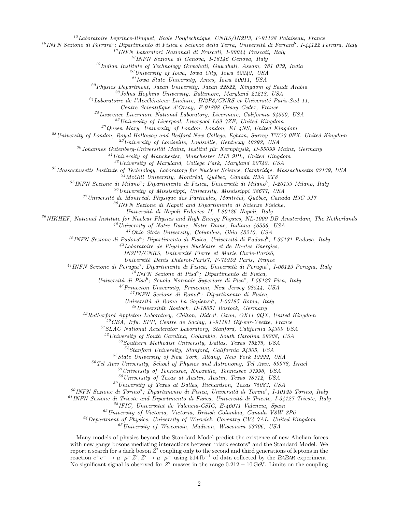<sup>15</sup>Laboratoire Leprince-Ringuet, Ecole Polytechnique, CNRS/IN2P3, F-91128 Palaiseau, France

<sup>16</sup>INFN Sezione di Ferrara<sup>a</sup>; Dipartimento di Fisica e Scienze della Terra, Università di Ferrara<sup>b</sup>, I-44122 Ferrara, Italy

<sup>17</sup>INFN Laboratori Nazionali di Frascati, I-00044 Frascati, Italy

<sup>18</sup>INFN Sezione di Genova, I-16146 Genova, Italy

<sup>19</sup>Indian Institute of Technology Guwahati, Guwahati, Assam, 781 039, India

 $^{20}$ University of Iowa, Iowa City, Iowa 52242, USA

 $^{21}I$ owa State University, Ames, Iowa 50011, USA

 $^{22}$ Physics Department, Jazan University, Jazan 22822, Kingdom of Saudi Arabia

 $^{23}$  Johns Hopkins University, Baltimore, Maryland 21218, USA

<sup>24</sup>Laboratoire de l'Accélérateur Linéaire, IN2P3/CNRS et Université Paris-Sud 11,

Centre Scientifique d'Orsay, F-91898 Orsay Cedex, France

 $^{25}$ Lawrence Livermore National Laboratory, Livermore, California 94550, USA

 $^{26}$ University of Liverpool, Liverpool L69 7ZE, United Kingdom

 $^{27}Q$ ueen Mary, University of London, London, E1 4NS, United Kingdom

<sup>28</sup> University of London, Royal Holloway and Bedford New College, Egham, Surrey TW20 0EX, United Kingdom

 $\overset{29}{\;}$ University of Louisville, Louisville, Kentucky 40292, USA

 $30$  Johannes Gutenberg-Universität Mainz, Institut für Kernphysik, D-55099 Mainz, Germany

 $31$ University of Manchester, Manchester M13 9PL, United Kingdom

 $32$ University of Maryland, College Park, Maryland 20742, USA

<sup>33</sup>Massachusetts Institute of Technology, Laboratory for Nuclear Science, Cambridge, Massachusetts 02139, USA

 $^{34}McGill$  University, Montréal, Québec, Canada H3A 2T8

<sup>35</sup>INFN Sezione di Milano<sup>a</sup>; Dipartimento di Fisica, Università di Milano<sup>b</sup>, I-20133 Milano, Italy

<sup>36</sup>University of Mississippi, University, Mississippi 38677, USA

 $37$ Université de Montréal, Physique des Particules, Montréal, Québec, Canada H3C 3J7

<sup>38</sup>INFN Sezione di Napoli and Dipartimento di Scienze Fisiche,

Universit`a di Napoli Federico II, I-80126 Napoli, Italy

<sup>39</sup>NIKHEF, National Institute for Nuclear Physics and High Energy Physics, NL-1009 DB Amsterdam, The Netherlands

 $^{40}$ University of Notre Dame, Notre Dame, Indiana 46556, USA

<sup>41</sup>Ohio State University, Columbus, Ohio 43210, USA

<sup>42</sup>INFN Sezione di Padova<sup>a</sup>; Dipartimento di Fisica, Università di Padova<sup>b</sup>, I-35131 Padova, Italy

 $^{43}$ Laboratoire de Physique Nucléaire et de Hautes Energies,

IN2P3/CNRS, Université Pierre et Marie Curie-Paris6,

Universit´e Denis Diderot-Paris7, F-75252 Paris, France

<sup>44</sup>INFN Sezione di Perugia<sup>a</sup>; Dipartimento di Fisica, Università di Perugia<sup>b</sup>, I-06123 Perugia, Italy

 $^{45}$ INFN Sezione di Pisa<sup>a</sup>; Dipartimento di Fisica,

Università di Pisa<sup>b</sup>; Scuola Normale Superiore di Pisa<sup>c</sup>, I-56127 Pisa, Italy

<sup>46</sup>Princeton University, Princeton, New Jersey 08544, USA

 $^{47}$ INFN Sezione di Roma<sup>a</sup>; Dipartimento di Fisica,

Università di Roma La Sapienza<sup>b</sup>, I-00185 Roma, Italy

 $^{48}$ Universität Rostock, D-18051 Rostock, Germany

 $^{49}Rutherford$  Appleton Laboratory, Chilton, Didcot, Oxon, OX11 0QX, United Kingdom

 $50$ <sup>60</sup>CEA, Irfu, SPP, Centre de Saclay, F-91191 Gif-sur-Yvette, France

 $51 SLAC$  National Accelerator Laboratory, Stanford, California 94309 USA

<sup>52</sup>University of South Carolina, Columbia, South Carolina 29208, USA

<sup>53</sup>Southern Methodist University, Dallas, Texas 75275, USA

<sup>54</sup>Stanford University, Stanford, California 94305, USA

<sup>55</sup>State University of New York, Albany, New York 12222, USA

<sup>56</sup>Tel Aviv University, School of Physics and Astronomy, Tel Aviv, 69978, Israel

<sup>57</sup>University of Tennessee, Knoxville, Tennessee 37996, USA

<sup>58</sup>University of Texas at Austin, Austin, Texas 78712, USA

<sup>59</sup>University of Texas at Dallas, Richardson, Texas 75083, USA

<sup>60</sup>INFN Sezione di Torino<sup>a</sup>; Dipartimento di Fisica, Università di Torino<sup>b</sup>, I-10125 Torino, Italy

 $^{61}$ INFN Sezione di Trieste and Dipartimento di Fisica, Università di Trieste, I-34127 Trieste, Italy

<sup>62</sup>IFIC, Universitat de Valencia-CSIC, E-46071 Valencia, Spain

 $^{63}$ University of Victoria, Victoria, British Columbia, Canada V8W 3P6

 $64$  Department of Physics, University of Warwick, Coventry CV4 7AL, United Kingdom

 $^{65}$ University of Wisconsin, Madison, Wisconsin 53706, USA

Many models of physics beyond the Standard Model predict the existence of new Abelian forces with new gauge bosons mediating interactions between "dark sectors" and the Standard Model. We report a search for a dark boson  $Z'$  coupling only to the second and third generations of leptons in the reaction  $e^+e^- \to \mu^+\mu^- Z', Z' \to \mu^+\mu^-$  using 514 fb<sup>-1</sup> of data collected by the BABAR experiment. No significant signal is observed for  $Z'$  masses in the range  $0.212 - 10$  GeV. Limits on the coupling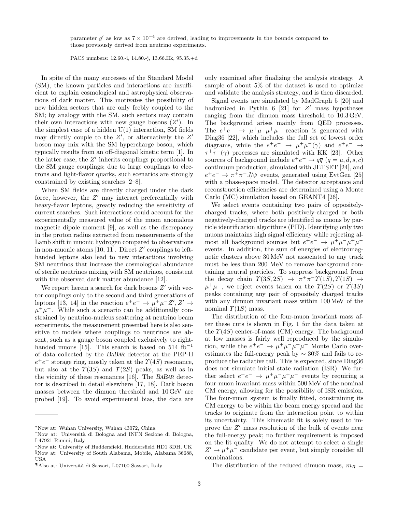parameter g' as low as  $7 \times 10^{-4}$  are derived, leading to improvements in the bounds compared to those previously derived from neutrino experiments.

PACS numbers: 12.60.-i, 14.80.-j, 13.66.Hk, 95.35.+d

In spite of the many successes of the Standard Model (SM), the known particles and interactions are insufficient to explain cosmological and astrophysical observations of dark matter. This motivates the possibility of new hidden sectors that are only feebly coupled to the SM; by analogy with the SM, such sectors may contain their own interactions with new gauge bosons  $(Z')$ . In the simplest case of a hidden  $U(1)$  interaction, SM fields may directly couple to the  $Z'$ , or alternatively the  $Z'$ boson may mix with the SM hypercharge boson, which typically results from an off-diagonal kinetic term [1]. In the latter case, the  $Z'$  inherits couplings proportional to the SM gauge couplings; due to large couplings to electrons and light-flavor quarks, such scenarios are strongly constrained by existing searches [2–8].

When SM fields are directly charged under the dark force, however, the  $Z'$  may interact preferentially with heavy-flavor leptons, greatly reducing the sensitivity of current searches. Such interactions could account for the experimentally measured value of the muon anomalous magnetic dipole moment [9], as well as the discrepancy in the proton radius extracted from measurements of the Lamb shift in muonic hydrogen compared to observations in non-muonic atoms [10, 11]. Direct  $Z'$  couplings to lefthanded leptons also lead to new interactions involving SM neutrinos that increase the cosmological abundance of sterile neutrinos mixing with SM neutrinos, consistent with the observed dark matter abundance [12].

We report herein a search for dark bosons  $Z'$  with vector couplings only to the second and third generations of leptons [13, 14] in the reaction  $e^+e^- \to \mu^+\mu^-Z', Z' \to$  $\mu^+\mu^-$ . While such a scenario can be additionally constrained by neutrino-nucleus scattering at neutrino beam experiments, the measurement presented here is also sensitive to models where couplings to neutrinos are absent, such as a gauge boson coupled exclusively to righthanded muons [15]. This search is based on 514 fb<sup>-1</sup> of data collected by the BABAR detector at the PEP-II  $e^+e^-$  storage ring, mostly taken at the  $\Upsilon(4S)$  resonance, but also at the  $\Upsilon(3S)$  and  $\Upsilon(2S)$  peaks, as well as in the vicinity of these resonances [16]. The BABAR detector is described in detail elsewhere [17, 18]. Dark boson masses between the dimuon threshold and 10 GeV are probed [19]. To avoid experimental bias, the data are

only examined after finalizing the analysis strategy. A sample of about 5% of the dataset is used to optimize and validate the analysis strategy, and is then discarded.

Signal events are simulated by MadGraph 5 [20] and hadronized in Pythia  $6$  [21] for  $Z'$  mass hypotheses ranging from the dimuon mass threshold to 10.3 GeV. The background arises mainly from QED processes. The  $e^+e^- \rightarrow \mu^+\mu^-\mu^+\mu^-$  reaction is generated with Diag36 [22], which includes the full set of lowest order diagrams, while the  $e^+e^- \rightarrow \mu^+\mu^-(\gamma)$  and  $e^+e^- \rightarrow$  $\tau^+\tau^-(\gamma)$  processes are simulated with KK [23]. Other sources of background include  $e^+e^- \to q\bar{q}$   $(q = u, d, s, c)$ continuum production, simulated with JETSET [24], and  $e^+e^- \rightarrow \pi^+\pi^-J/\psi$  events, generated using EvtGen [25] with a phase-space model. The detector acceptance and reconstruction efficiencies are determined using a Monte Carlo (MC) simulation based on GEANT4 [26].

We select events containing two pairs of oppositelycharged tracks, where both positively-charged or both negatively-charged tracks are identified as muons by particle identification algorithms (PID). Identifying only two muons maintains high signal efficiency while rejecting almost all background sources but  $e^+e^- \rightarrow \mu^+\mu^-\mu^+\mu^$ events. In addition, the sum of energies of electromagnetic clusters above 30 MeV not associated to any track must be less than 200 MeV to remove background containing neutral particles. To suppress background from the decay chain  $\Upsilon(3S, 2S) \rightarrow \pi^+\pi^-\Upsilon(1S), \Upsilon(1S) \rightarrow$  $\mu^+\mu^-$ , we reject events taken on the  $\Upsilon(2S)$  or  $\Upsilon(3S)$ peaks containing any pair of oppositely charged tracks with any dimuon invariant mass within 100 MeV of the nominal  $\Upsilon(1S)$  mass.

The distribution of the four-muon invariant mass after these cuts is shown in Fig. 1 for the data taken at the  $\Upsilon(4S)$  center-of-mass (CM) energy. The background at low masses is fairly well reproduced by the simulation, while the  $e^+e^- \rightarrow \mu^+\mu^-\mu^+\mu^-$  Monte Carlo overestimates the full-energy peak by  $\sim 30\%$  and fails to reproduce the radiative tail. This is expected, since Diag36 does not simulate initial state radiation (ISR). We further select  $e^+e^- \rightarrow \mu^+\mu^-\mu^+\mu^-$  events by requiring a four-muon invariant mass within 500 MeV of the nominal CM energy, allowing for the possibility of ISR emission. The four-muon system is finally fitted, constraining its CM energy to be within the beam energy spread and the tracks to originate from the interaction point to within its uncertainty. This kinematic fit is solely used to improve the  $Z'$  mass resolution of the bulk of events near the full-energy peak; no further requirement is imposed on the fit quality. We do not attempt to select a single  $Z' \to \mu^+ \mu^-$  candidate per event, but simply consider all combinations.

The distribution of the reduced dimuon mass,  $m_R =$ 

<sup>∗</sup>Now at: Wuhan University, Wuhan 43072, China

<sup>†</sup>Now at: Universit`a di Bologna and INFN Sezione di Bologna, I-47921 Rimini, Italy

<sup>‡</sup>Now at: University of Huddersfield, Huddersfield HD1 3DH, UK §Now at: University of South Alabama, Mobile, Alabama 36688, USA

<sup>¶</sup>Also at: Universit`a di Sassari, I-07100 Sassari, Italy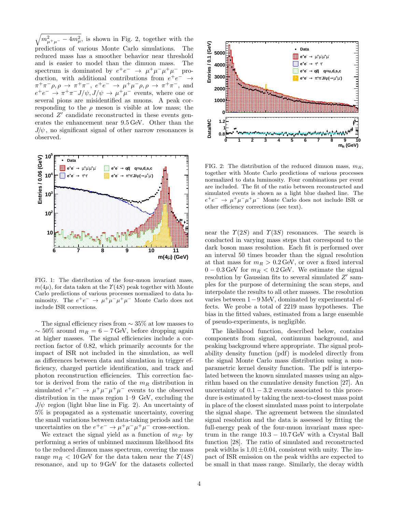$\sqrt{m_{\mu^+\mu^-}^2-4m_{\mu}^2}$ , is shown in Fig. 2, together with the predictions of various Monte Carlo simulations. The reduced mass has a smoother behavior near threshold and is easier to model than the dimuon mass. The spectrum is dominated by  $e^+e^- \rightarrow \mu^+\mu^-\mu^+\mu^-$  production, with additional contributions from  $e^+e^- \rightarrow$  $\pi^+\pi^-\rho, \rho \to \pi^+\pi^-, e^+e^- \to \mu^+\mu^-\rho, \rho \to \pi^+\pi^-,$  and  $e^+e^- \rightarrow \pi^+\pi^-J/\psi, J/\psi \rightarrow \mu^+\mu^-$  events, where one or several pions are misidentified as muons. A peak corresponding to the  $\rho$  meson is visible at low mass; the second  $Z'$  candidate reconstructed in these events generates the enhancement near 9.5 GeV. Other than the  $J/\psi$ , no significant signal of other narrow resonances is observed.



FIG. 1: The distribution of the four-muon invariant mass,  $m(4\mu)$ , for data taken at the  $\Upsilon(4S)$  peak together with Monte Carlo predictions of various processes normalized to data luminosity. The  $e^+e^- \rightarrow \mu^+\mu^-\mu^+\mu^-$  Monte Carlo does not include ISR corrections.

The signal efficiency rises from  $\sim$  35% at low masses to  $\sim$  50% around  $m_R = 6 - 7$  GeV, before dropping again at higher masses. The signal efficiencies include a correction factor of 0.82, which primarily accounts for the impact of ISR not included in the simulation, as well as differences between data and simulation in trigger efficiency, charged particle identification, and track and photon reconstruction efficiencies. This correction factor is derived from the ratio of the  $m_R$  distribution in simulated  $e^+e^- \rightarrow \mu^+\mu^-\mu^+\mu^-$  events to the observed distribution in the mass region 1–9 GeV, excluding the  $J/\psi$  region (light blue line in Fig. 2). An uncertainty of 5% is propagated as a systematic uncertainty, covering the small variations between data-taking periods and the uncertainties on the  $e^+e^- \to \mu^+\mu^-\mu^+\mu^-$  cross-section.

We extract the signal yield as a function of  $m_{Z}$  by performing a series of unbinned maximum likelihood fits to the reduced dimuon mass spectrum, covering the mass range  $m_B < 10$  GeV for the data taken near the  $\Upsilon(4S)$ resonance, and up to 9 GeV for the datasets collected



FIG. 2: The distribution of the reduced dimuon mass,  $m_R$ , together with Monte Carlo predictions of various processes normalized to data luminosity. Four combinations per event are included. The fit of the ratio between reconstructed and simulated events is shown as a light blue dashed line. The  $e^+e^- \rightarrow \mu^+\mu^-\mu^+\mu^-$  Monte Carlo does not include ISR or other efficiency corrections (see text).

near the  $\Upsilon(2S)$  and  $\Upsilon(3S)$  resonances. The search is conducted in varying mass steps that correspond to the dark boson mass resolution. Each fit is performed over an interval 50 times broader than the signal resolution at that mass for  $m_R > 0.2 \,\text{GeV}$ , or over a fixed interval  $0 - 0.3$  GeV for  $m_R < 0.2$  GeV. We estimate the signal resolution by Gaussian fits to several simulated  $Z'$  samples for the purpose of determining the scan steps, and interpolate the results to all other masses. The resolution varies between 1−9 MeV, dominated by experimental effects. We probe a total of 2219 mass hypotheses. The bias in the fitted values, estimated from a large ensemble of pseudo-experiments, is negligible.

The likelihood function, described below, contains components from signal, continuum background, and peaking background where appropriate. The signal probability density function (pdf) is modeled directly from the signal Monte Carlo mass distribution using a nonparametric kernel density function. The pdf is interpolated between the known simulated masses using an algorithm based on the cumulative density function [27]. An uncertainty of  $0.1 - 3.2$  events associated to this procedure is estimated by taking the next-to-closest mass point in place of the closest simulated mass point to interpolate the signal shape. The agreement between the simulated signal resolution and the data is assessed by fitting the full-energy peak of the four-muon invariant mass spectrum in the range  $10.3 - 10.7 \,\text{GeV}$  with a Crystal Ball function [28]. The ratio of simulated and reconstructed peak widths is  $1.01 \pm 0.04$ , consistent with unity. The impact of ISR emission on the peak widths are expected to be small in that mass range. Similarly, the decay width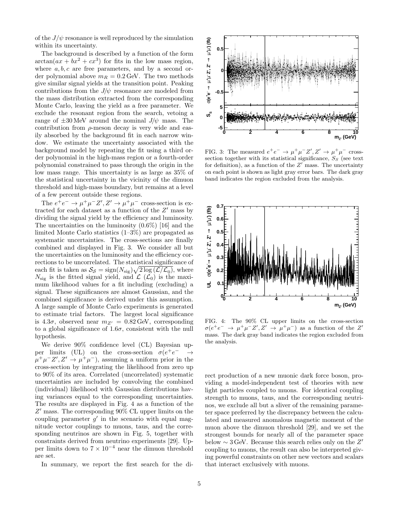of the  $J/\psi$  resonance is well reproduced by the simulation within its uncertainty.

The background is described by a function of the form  $arctan(ax + bx^2 + cx^3)$  for fits in the low mass region, where  $a, b, c$  are free parameters, and by a second order polynomial above  $m_R = 0.2$  GeV. The two methods give similar signal yields at the transition point. Peaking contributions from the  $J/\psi$  resonance are modeled from the mass distribution extracted from the corresponding Monte Carlo, leaving the yield as a free parameter. We exclude the resonant region from the search, vetoing a range of  $\pm 30$  MeV around the nominal  $J/\psi$  mass. The contribution from  $\rho$ -meson decay is very wide and easily absorbed by the background fit in each narrow window. We estimate the uncertainty associated with the background model by repeating the fit using a third order polynomial in the high-mass region or a fourth-order polynomial constrained to pass through the origin in the low mass range. This uncertainty is as large as 35% of the statistical uncertainty in the vicinity of the dimuon threshold and high-mass boundary, but remains at a level of a few percent outside these regions.

The  $e^+e^- \to \mu^+\mu^- Z', Z' \to \mu^+\mu^-$  cross-section is extracted for each dataset as a function of the  $Z'$  mass by dividing the signal yield by the efficiency and luminosity. The uncertainties on the luminosity (0.6%) [16] and the limited Monte Carlo statistics (1–3%) are propagated as systematic uncertainties. The cross-sections are finally combined and displayed in Fig. 3. We consider all but the uncertainties on the luminosity and the efficiency corrections to be uncorrelated. The statistical significance of each fit is taken as  $S_S = \text{sign}(N_{\text{sig}}) \sqrt{2 \log (\mathcal{L}/\mathcal{L}_0)}$ , where  $N_{\text{sig}}$  is the fitted signal yield, and  $\mathcal{L}(\mathcal{L}_0)$  is the maximum likelihood values for a fit including (excluding) a signal. These significances are almost Gaussian, and the combined significance is derived under this assumption. A large sample of Monte Carlo experiments is generated to estimate trial factors. The largest local significance is 4.3 $\sigma$ , observed near  $m_{Z'} = 0.82$  GeV, corresponding to a global significance of  $1.6\sigma$ , consistent with the null hypothesis.

We derive 90% confidence level (CL) Bayesian upper limits (UL) on the cross-section  $\sigma(e^+e)$  $\rightarrow$  $\mu^+\mu^-Z', Z' \to \mu^+\mu^-)$ , assuming a uniform prior in the cross-section by integrating the likelihood from zero up to 90% of its area. Correlated (uncorrelated) systematic uncertainties are included by convolving the combined (individual) likelihood with Gaussian distributions having variances equal to the corresponding uncertainties. The results are displayed in Fig. 4 as a function of the  $Z'$  mass. The corresponding  $90\%$  CL upper limits on the coupling parameter  $g'$  in the scenario with equal magnitude vector couplings to muons, taus, and the corresponding neutrinos are shown in Fig. 5, together with constraints derived from neutrino experiments [29]. Upper limits down to  $7 \times 10^{-4}$  near the dimuon threshold are set.

In summary, we report the first search for the di-



FIG. 3: The measured  $e^+e^- \to \mu^+\mu^-Z', Z' \to \mu^+\mu^-$  crosssection together with its statistical significance,  $S_S$  (see text for definition), as a function of the  $Z'$  mass. The uncertainty on each point is shown as light gray error bars. The dark gray band indicates the region excluded from the analysis.



FIG. 4: The 90% CL upper limits on the cross-section  $\sigma(e^+e^- \rightarrow \mu^+\mu^-Z', Z' \rightarrow \mu^+\mu^-)$  as a function of the Z' mass. The dark gray band indicates the region excluded from the analysis.

rect production of a new muonic dark force boson, providing a model-independent test of theories with new light particles coupled to muons. For identical coupling strength to muons, taus, and the corresponding neutrinos, we exclude all but a sliver of the remaining parameter space preferred by the discrepancy between the calculated and measured anomalous magnetic moment of the muon above the dimuon threshold [29], and we set the strongest bounds for nearly all of the parameter space below  $\sim 3 \,\text{GeV}$ . Because this search relies only on the Z' coupling to muons, the result can also be interpreted giving powerful constraints on other new vectors and scalars that interact exclusively with muons.